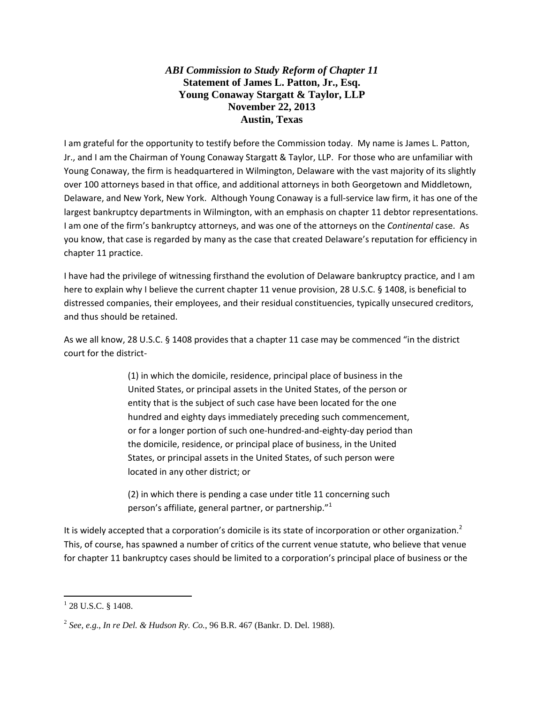## *ABI Commission to Study Reform of Chapter 11*  **Statement of James L. Patton, Jr., Esq. Young Conaway Stargatt & Taylor, LLP November 22, 2013 Austin, Texas**

I am grateful for the opportunity to testify before the Commission today. My name is James L. Patton, Jr., and I am the Chairman of Young Conaway Stargatt & Taylor, LLP. For those who are unfamiliar with Young Conaway, the firm is headquartered in Wilmington, Delaware with the vast majority of its slightly over 100 attorneys based in that office, and additional attorneys in both Georgetown and Middletown, Delaware, and New York, New York. Although Young Conaway is a full‐service law firm, it has one of the largest bankruptcy departments in Wilmington, with an emphasis on chapter 11 debtor representations. I am one of the firm's bankruptcy attorneys, and was one of the attorneys on the *Continental* case. As you know, that case is regarded by many as the case that created Delaware's reputation for efficiency in chapter 11 practice.

I have had the privilege of witnessing firsthand the evolution of Delaware bankruptcy practice, and I am here to explain why I believe the current chapter 11 venue provision, 28 U.S.C. § 1408, is beneficial to distressed companies, their employees, and their residual constituencies, typically unsecured creditors, and thus should be retained.

As we all know, 28 U.S.C. § 1408 provides that a chapter 11 case may be commenced "in the district court for the district‐

> (1) in which the domicile, residence, principal place of business in the United States, or principal assets in the United States, of the person or entity that is the subject of such case have been located for the one hundred and eighty days immediately preceding such commencement, or for a longer portion of such one‐hundred‐and‐eighty‐day period than the domicile, residence, or principal place of business, in the United States, or principal assets in the United States, of such person were located in any other district; or

(2) in which there is pending a case under title 11 concerning such person's affiliate, general partner, or partnership." $1$ 

It is widely accepted that a corporation's domicile is its state of incorporation or other organization.<sup>2</sup> This, of course, has spawned a number of critics of the current venue statute, who believe that venue for chapter 11 bankruptcy cases should be limited to a corporation's principal place of business or the

 $1$  28 U.S.C. § 1408.

<sup>2</sup> *See, e.g.*, *In re Del. & Hudson Ry. Co.*, 96 B.R. 467 (Bankr. D. Del. 1988).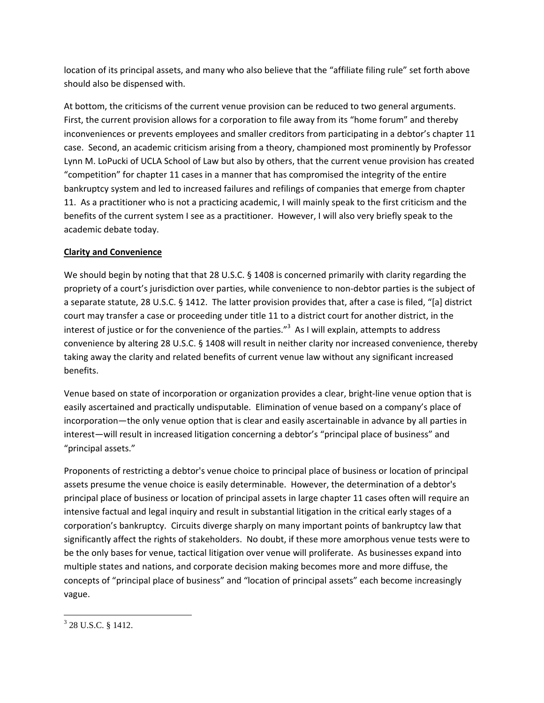location of its principal assets, and many who also believe that the "affiliate filing rule" set forth above should also be dispensed with.

At bottom, the criticisms of the current venue provision can be reduced to two general arguments. First, the current provision allows for a corporation to file away from its "home forum" and thereby inconveniences or prevents employees and smaller creditors from participating in a debtor's chapter 11 case. Second, an academic criticism arising from a theory, championed most prominently by Professor Lynn M. LoPucki of UCLA School of Law but also by others, that the current venue provision has created "competition" for chapter 11 cases in a manner that has compromised the integrity of the entire bankruptcy system and led to increased failures and refilings of companies that emerge from chapter 11. As a practitioner who is not a practicing academic, I will mainly speak to the first criticism and the benefits of the current system I see as a practitioner. However, I will also very briefly speak to the academic debate today.

## **Clarity and Convenience**

We should begin by noting that that 28 U.S.C. § 1408 is concerned primarily with clarity regarding the propriety of a court's jurisdiction over parties, while convenience to non-debtor parties is the subject of a separate statute, 28 U.S.C. § 1412. The latter provision provides that, after a case is filed, "[a] district court may transfer a case or proceeding under title 11 to a district court for another district, in the interest of justice or for the convenience of the parties."<sup>3</sup> As I will explain, attempts to address convenience by altering 28 U.S.C. § 1408 will result in neither clarity nor increased convenience, thereby taking away the clarity and related benefits of current venue law without any significant increased benefits.

Venue based on state of incorporation or organization provides a clear, bright‐line venue option that is easily ascertained and practically undisputable. Elimination of venue based on a company's place of incorporation—the only venue option that is clear and easily ascertainable in advance by all parties in interest—will result in increased litigation concerning a debtor's "principal place of business" and "principal assets."

Proponents of restricting a debtor's venue choice to principal place of business or location of principal assets presume the venue choice is easily determinable. However, the determination of a debtor's principal place of business or location of principal assets in large chapter 11 cases often will require an intensive factual and legal inquiry and result in substantial litigation in the critical early stages of a corporation's bankruptcy. Circuits diverge sharply on many important points of bankruptcy law that significantly affect the rights of stakeholders. No doubt, if these more amorphous venue tests were to be the only bases for venue, tactical litigation over venue will proliferate. As businesses expand into multiple states and nations, and corporate decision making becomes more and more diffuse, the concepts of "principal place of business" and "location of principal assets" each become increasingly vague.

 <sup>3</sup> 28 U.S.C. § 1412.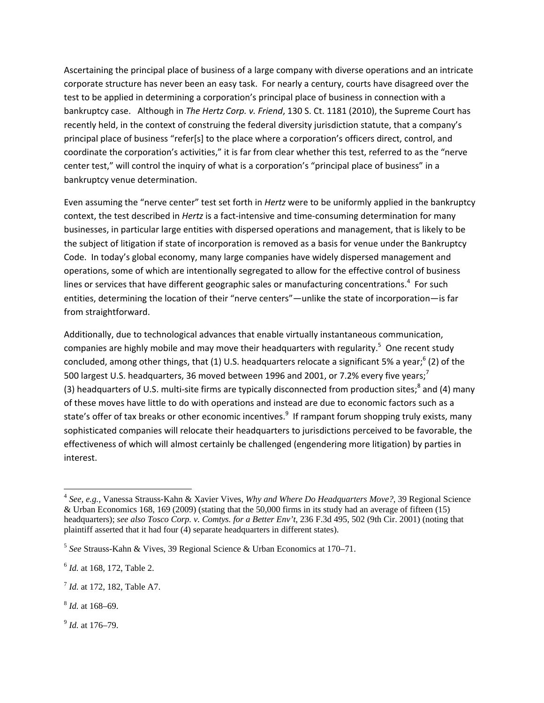Ascertaining the principal place of business of a large company with diverse operations and an intricate corporate structure has never been an easy task. For nearly a century, courts have disagreed over the test to be applied in determining a corporation's principal place of business in connection with a bankruptcy case. Although in *The Hertz Corp. v. Friend*, 130 S. Ct. 1181 (2010), the Supreme Court has recently held, in the context of construing the federal diversity jurisdiction statute, that a company's principal place of business "refer[s] to the place where a corporation's officers direct, control, and coordinate the corporation's activities," it is far from clear whether this test, referred to as the "nerve center test," will control the inquiry of what is a corporation's "principal place of business" in a bankruptcy venue determination.

Even assuming the "nerve center" test set forth in *Hertz* were to be uniformly applied in the bankruptcy context, the test described in *Hertz* is a fact-intensive and time-consuming determination for many businesses, in particular large entities with dispersed operations and management, that is likely to be the subject of litigation if state of incorporation is removed as a basis for venue under the Bankruptcy Code. In today's global economy, many large companies have widely dispersed management and operations, some of which are intentionally segregated to allow for the effective control of business lines or services that have different geographic sales or manufacturing concentrations.<sup>4</sup> For such entities, determining the location of their "nerve centers"—unlike the state of incorporation—is far from straightforward.

Additionally, due to technological advances that enable virtually instantaneous communication, companies are highly mobile and may move their headquarters with regularity.<sup>5</sup> One recent study concluded, among other things, that (1) U.S. headquarters relocate a significant 5% a year;<sup>6</sup> (2) of the 500 largest U.S. headquarters, 36 moved between 1996 and 2001, or 7.2% every five vears:<sup>7</sup> (3) headquarters of U.S. multi-site firms are typically disconnected from production sites;<sup>8</sup> and (4) many of these moves have little to do with operations and instead are due to economic factors such as a state's offer of tax breaks or other economic incentives.<sup>9</sup> If rampant forum shopping truly exists, many sophisticated companies will relocate their headquarters to jurisdictions perceived to be favorable, the effectiveness of which will almost certainly be challenged (engendering more litigation) by parties in interest.

<sup>9</sup> *Id.* at 176–79.

<sup>4</sup> *See, e.g.,* Vanessa Strauss-Kahn & Xavier Vives, *Why and Where Do Headquarters Move?*, 39 Regional Science & Urban Economics 168, 169 (2009) (stating that the 50,000 firms in its study had an average of fifteen (15) headquarters); *see also Tosco Corp. v. Comtys. for a Better Env't*, 236 F.3d 495, 502 (9th Cir. 2001) (noting that plaintiff asserted that it had four (4) separate headquarters in different states).

<sup>5</sup> *See* Strauss-Kahn & Vives, 39 Regional Science & Urban Economics at 170–71.

<sup>6</sup> *Id.* at 168, 172, Table 2.

<sup>7</sup> *Id.* at 172, 182, Table A7.

<sup>8</sup> *Id.* at 168–69.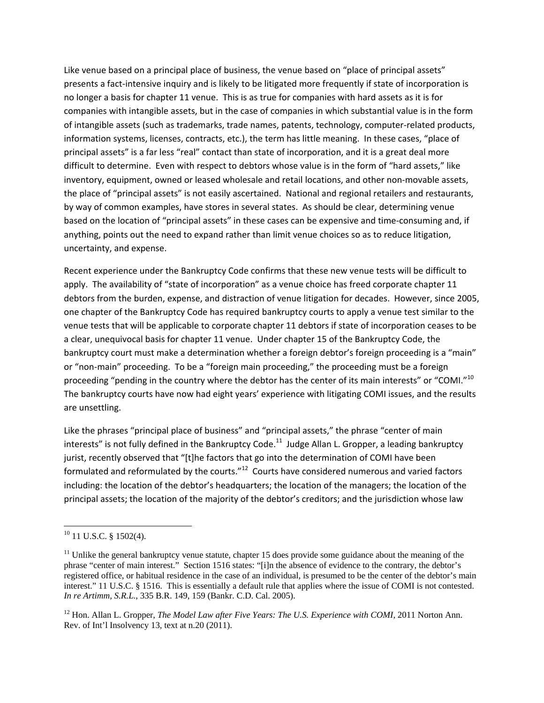Like venue based on a principal place of business, the venue based on "place of principal assets" presents a fact‐intensive inquiry and is likely to be litigated more frequently if state of incorporation is no longer a basis for chapter 11 venue. This is as true for companies with hard assets as it is for companies with intangible assets, but in the case of companies in which substantial value is in the form of intangible assets (such as trademarks, trade names, patents, technology, computer‐related products, information systems, licenses, contracts, etc.), the term has little meaning. In these cases, "place of principal assets" is a far less "real" contact than state of incorporation, and it is a great deal more difficult to determine. Even with respect to debtors whose value is in the form of "hard assets," like inventory, equipment, owned or leased wholesale and retail locations, and other non-movable assets, the place of "principal assets" is not easily ascertained. National and regional retailers and restaurants, by way of common examples, have stores in several states. As should be clear, determining venue based on the location of "principal assets" in these cases can be expensive and time‐consuming and, if anything, points out the need to expand rather than limit venue choices so as to reduce litigation, uncertainty, and expense.

Recent experience under the Bankruptcy Code confirms that these new venue tests will be difficult to apply. The availability of "state of incorporation" as a venue choice has freed corporate chapter 11 debtors from the burden, expense, and distraction of venue litigation for decades. However, since 2005, one chapter of the Bankruptcy Code has required bankruptcy courts to apply a venue test similar to the venue tests that will be applicable to corporate chapter 11 debtors if state of incorporation ceases to be a clear, unequivocal basis for chapter 11 venue. Under chapter 15 of the Bankruptcy Code, the bankruptcy court must make a determination whether a foreign debtor's foreign proceeding is a "main" or "non‐main" proceeding. To be a "foreign main proceeding," the proceeding must be a foreign proceeding "pending in the country where the debtor has the center of its main interests" or "COMI."<sup>10</sup> The bankruptcy courts have now had eight years' experience with litigating COMI issues, and the results are unsettling.

Like the phrases "principal place of business" and "principal assets," the phrase "center of main interests" is not fully defined in the Bankruptcy Code.<sup>11</sup> Judge Allan L. Gropper, a leading bankruptcy jurist, recently observed that "[t]he factors that go into the determination of COMI have been formulated and reformulated by the courts."<sup>12</sup> Courts have considered numerous and varied factors including: the location of the debtor's headquarters; the location of the managers; the location of the principal assets; the location of the majority of the debtor's creditors; and the jurisdiction whose law

 $10$  11 U.S.C. § 1502(4).

 $11$  Unlike the general bankruptcy venue statute, chapter 15 does provide some guidance about the meaning of the phrase "center of main interest." Section 1516 states: "[i]n the absence of evidence to the contrary, the debtor's registered office, or habitual residence in the case of an individual, is presumed to be the center of the debtor's main interest." 11 U.S.C. § 1516. This is essentially a default rule that applies where the issue of COMI is not contested. *In re Artimm, S.R.L.*, 335 B.R. 149, 159 (Bankr. C.D. Cal. 2005).

<sup>&</sup>lt;sup>12</sup> Hon. Allan L. Gropper, *The Model Law after Five Years: The U.S. Experience with COMI*, 2011 Norton Ann. Rev. of Int'l Insolvency 13, text at n.20 (2011).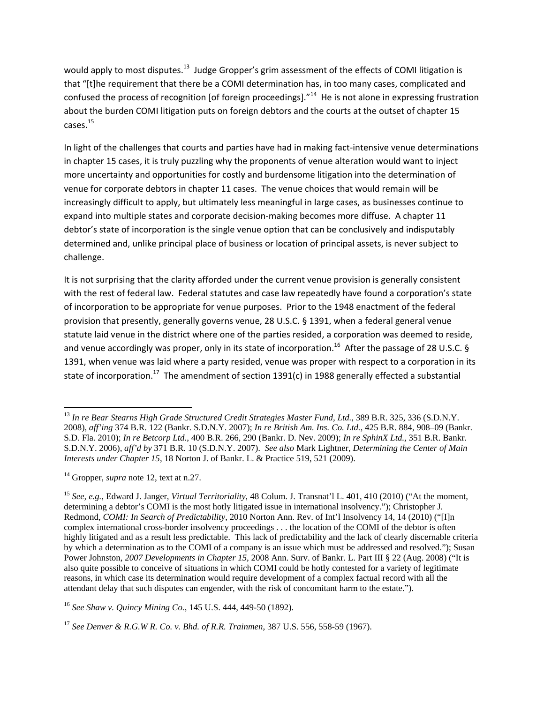would apply to most disputes.<sup>13</sup> Judge Gropper's grim assessment of the effects of COMI litigation is that "[t]he requirement that there be a COMI determination has, in too many cases, complicated and confused the process of recognition [of foreign proceedings]."<sup>14</sup> He is not alone in expressing frustration about the burden COMI litigation puts on foreign debtors and the courts at the outset of chapter 15 cases.15

In light of the challenges that courts and parties have had in making fact-intensive venue determinations in chapter 15 cases, it is truly puzzling why the proponents of venue alteration would want to inject more uncertainty and opportunities for costly and burdensome litigation into the determination of venue for corporate debtors in chapter 11 cases. The venue choices that would remain will be increasingly difficult to apply, but ultimately less meaningful in large cases, as businesses continue to expand into multiple states and corporate decision-making becomes more diffuse. A chapter 11 debtor's state of incorporation is the single venue option that can be conclusively and indisputably determined and, unlike principal place of business or location of principal assets, is never subject to challenge.

It is not surprising that the clarity afforded under the current venue provision is generally consistent with the rest of federal law. Federal statutes and case law repeatedly have found a corporation's state of incorporation to be appropriate for venue purposes. Prior to the 1948 enactment of the federal provision that presently, generally governs venue, 28 U.S.C. § 1391, when a federal general venue statute laid venue in the district where one of the parties resided, a corporation was deemed to reside, and venue accordingly was proper, only in its state of incorporation.<sup>16</sup> After the passage of 28 U.S.C. § 1391, when venue was laid where a party resided, venue was proper with respect to a corporation in its state of incorporation.<sup>17</sup> The amendment of section 1391(c) in 1988 generally effected a substantial

<sup>&</sup>lt;sup>13</sup> In re Bear Stearns High Grade Structured Credit Strategies Master Fund, Ltd., 389 B.R. 325, 336 (S.D.N.Y. 2008), *aff'ing* 374 B.R. 122 (Bankr. S.D.N.Y. 2007); *In re British Am. Ins. Co. Ltd.*, 425 B.R. 884, 908–09 (Bankr. S.D. Fla. 2010); *In re Betcorp Ltd.*, 400 B.R. 266, 290 (Bankr. D. Nev. 2009); *In re SphinX Ltd.*, 351 B.R. Bankr. S.D.N.Y. 2006), *aff'd by* 371 B.R. 10 (S.D.N.Y. 2007). *See also* Mark Lightner, *Determining the Center of Main Interests under Chapter 15*, 18 Norton J. of Bankr. L. & Practice 519, 521 (2009).

<sup>14</sup> Gropper, *supra* note 12, text at n.27.

<sup>15</sup> *See, e.g.*, Edward J. Janger, *Virtual Territoriality*, 48 Colum. J. Transnat'l L. 401, 410 (2010) ("At the moment, determining a debtor's COMI is the most hotly litigated issue in international insolvency."); Christopher J. Redmond, *COMI: In Search of Predictability*, 2010 Norton Ann. Rev. of Int'l Insolvency 14, 14 (2010) ("[I]n complex international cross-border insolvency proceedings . . . the location of the COMI of the debtor is often highly litigated and as a result less predictable. This lack of predictability and the lack of clearly discernable criteria by which a determination as to the COMI of a company is an issue which must be addressed and resolved."); Susan Power Johnston, *2007 Developments in Chapter 15*, 2008 Ann. Surv. of Bankr. L. Part III § 22 (Aug. 2008) ("It is also quite possible to conceive of situations in which COMI could be hotly contested for a variety of legitimate reasons, in which case its determination would require development of a complex factual record with all the attendant delay that such disputes can engender, with the risk of concomitant harm to the estate.").

<sup>16</sup> *See Shaw v. Quincy Mining Co.*, 145 U.S. 444, 449-50 (1892).

<sup>17</sup> *See Denver & R.G.W R. Co. v. Bhd. of R.R. Trainmen*, 387 U.S. 556, 558-59 (1967).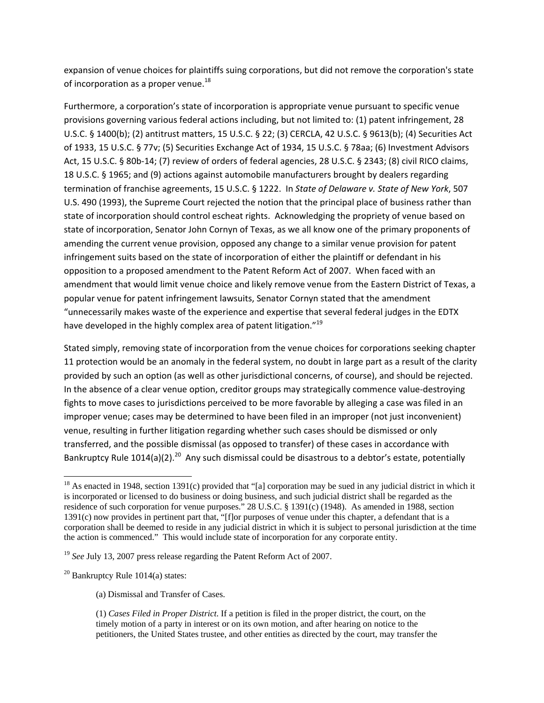expansion of venue choices for plaintiffs suing corporations, but did not remove the corporation's state of incorporation as a proper venue. $^{18}$ 

Furthermore, a corporation's state of incorporation is appropriate venue pursuant to specific venue provisions governing various federal actions including, but not limited to: (1) patent infringement, 28 U.S.C. § 1400(b); (2) antitrust matters, 15 U.S.C. § 22; (3) CERCLA, 42 U.S.C. § 9613(b); (4) Securities Act of 1933, 15 U.S.C. § 77v; (5) Securities Exchange Act of 1934, 15 U.S.C. § 78aa; (6) Investment Advisors Act, 15 U.S.C. § 80b‐14; (7) review of orders of federal agencies, 28 U.S.C. § 2343; (8) civil RICO claims, 18 U.S.C. § 1965; and (9) actions against automobile manufacturers brought by dealers regarding termination of franchise agreements, 15 U.S.C. § 1222. In *State of Delaware v. State of New York*, 507 U.S. 490 (1993), the Supreme Court rejected the notion that the principal place of business rather than state of incorporation should control escheat rights. Acknowledging the propriety of venue based on state of incorporation, Senator John Cornyn of Texas, as we all know one of the primary proponents of amending the current venue provision, opposed any change to a similar venue provision for patent infringement suits based on the state of incorporation of either the plaintiff or defendant in his opposition to a proposed amendment to the Patent Reform Act of 2007. When faced with an amendment that would limit venue choice and likely remove venue from the Eastern District of Texas, a popular venue for patent infringement lawsuits, Senator Cornyn stated that the amendment "unnecessarily makes waste of the experience and expertise that several federal judges in the EDTX have developed in the highly complex area of patent litigation."<sup>19</sup>

Stated simply, removing state of incorporation from the venue choices for corporations seeking chapter 11 protection would be an anomaly in the federal system, no doubt in large part as a result of the clarity provided by such an option (as well as other jurisdictional concerns, of course), and should be rejected. In the absence of a clear venue option, creditor groups may strategically commence value‐destroying fights to move cases to jurisdictions perceived to be more favorable by alleging a case was filed in an improper venue; cases may be determined to have been filed in an improper (not just inconvenient) venue, resulting in further litigation regarding whether such cases should be dismissed or only transferred, and the possible dismissal (as opposed to transfer) of these cases in accordance with Bankruptcy Rule 1014(a)(2).<sup>20</sup> Any such dismissal could be disastrous to a debtor's estate, potentially

(a) Dismissal and Transfer of Cases.

<sup>&</sup>lt;sup>18</sup> As enacted in 1948, section 1391(c) provided that "[a] corporation may be sued in any judicial district in which it is incorporated or licensed to do business or doing business, and such judicial district shall be regarded as the residence of such corporation for venue purposes." 28 U.S.C. § 1391(c) (1948). As amended in 1988, section 1391(c) now provides in pertinent part that, "[f]or purposes of venue under this chapter, a defendant that is a corporation shall be deemed to reside in any judicial district in which it is subject to personal jurisdiction at the time the action is commenced." This would include state of incorporation for any corporate entity.

<sup>&</sup>lt;sup>19</sup> See July 13, 2007 press release regarding the Patent Reform Act of 2007.

 $20$  Bankruptcy Rule 1014(a) states:

<sup>(1)</sup> *Cases Filed in Proper District*. If a petition is filed in the proper district, the court, on the timely motion of a party in interest or on its own motion, and after hearing on notice to the petitioners, the United States trustee, and other entities as directed by the court, may transfer the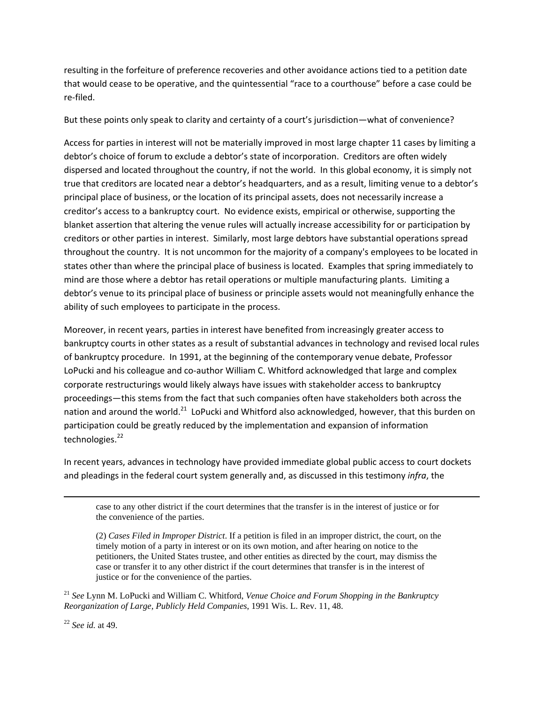resulting in the forfeiture of preference recoveries and other avoidance actions tied to a petition date that would cease to be operative, and the quintessential "race to a courthouse" before a case could be re‐filed.

But these points only speak to clarity and certainty of a court's jurisdiction—what of convenience?

Access for parties in interest will not be materially improved in most large chapter 11 cases by limiting a debtor's choice of forum to exclude a debtor's state of incorporation. Creditors are often widely dispersed and located throughout the country, if not the world. In this global economy, it is simply not true that creditors are located near a debtor's headquarters, and as a result, limiting venue to a debtor's principal place of business, or the location of its principal assets, does not necessarily increase a creditor's access to a bankruptcy court. No evidence exists, empirical or otherwise, supporting the blanket assertion that altering the venue rules will actually increase accessibility for or participation by creditors or other parties in interest. Similarly, most large debtors have substantial operations spread throughout the country. It is not uncommon for the majority of a company's employees to be located in states other than where the principal place of business is located. Examples that spring immediately to mind are those where a debtor has retail operations or multiple manufacturing plants. Limiting a debtor's venue to its principal place of business or principle assets would not meaningfully enhance the ability of such employees to participate in the process.

Moreover, in recent years, parties in interest have benefited from increasingly greater access to bankruptcy courts in other states as a result of substantial advances in technology and revised local rules of bankruptcy procedure. In 1991, at the beginning of the contemporary venue debate, Professor LoPucki and his colleague and co-author William C. Whitford acknowledged that large and complex corporate restructurings would likely always have issues with stakeholder access to bankruptcy proceedings—this stems from the fact that such companies often have stakeholders both across the nation and around the world.<sup>21</sup> LoPucki and Whitford also acknowledged, however, that this burden on participation could be greatly reduced by the implementation and expansion of information technologies.<sup>22</sup>

In recent years, advances in technology have provided immediate global public access to court dockets and pleadings in the federal court system generally and, as discussed in this testimony *infra*, the

case to any other district if the court determines that the transfer is in the interest of justice or for the convenience of the parties.

<u> Andrewski politika (za obrazu za obrazu za obrazu za obrazu za obrazu za obrazu za obrazu za obrazu za obrazu</u>

(2) *Cases Filed in Improper District*. If a petition is filed in an improper district, the court, on the timely motion of a party in interest or on its own motion, and after hearing on notice to the petitioners, the United States trustee, and other entities as directed by the court, may dismiss the case or transfer it to any other district if the court determines that transfer is in the interest of justice or for the convenience of the parties.

<sup>21</sup> *See* Lynn M. LoPucki and William C. Whitford, *Venue Choice and Forum Shopping in the Bankruptcy Reorganization of Large, Publicly Held Companies*, 1991 Wis. L. Rev. 11, 48.

<sup>22</sup> *See id.* at 49.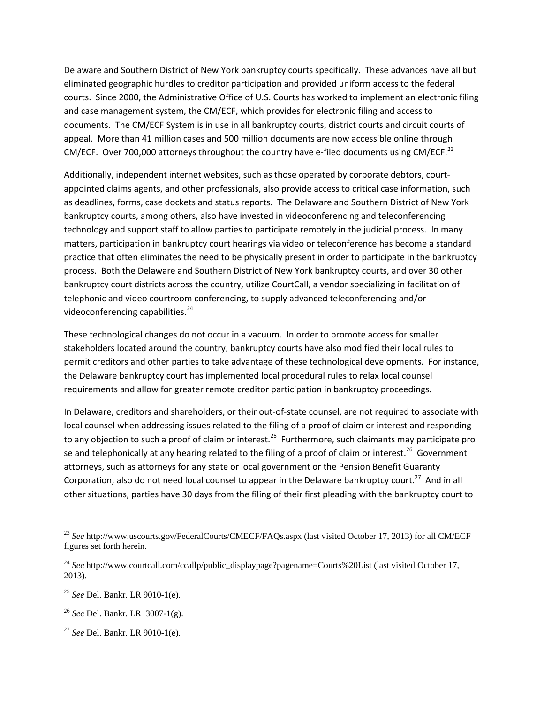Delaware and Southern District of New York bankruptcy courts specifically. These advances have all but eliminated geographic hurdles to creditor participation and provided uniform access to the federal courts. Since 2000, the Administrative Office of U.S. Courts has worked to implement an electronic filing and case management system, the CM/ECF, which provides for electronic filing and access to documents. The CM/ECF System is in use in all bankruptcy courts, district courts and circuit courts of appeal. More than 41 million cases and 500 million documents are now accessible online through CM/ECF. Over 700,000 attorneys throughout the country have e-filed documents using CM/ECF.<sup>23</sup>

Additionally, independent internet websites, such as those operated by corporate debtors, court‐ appointed claims agents, and other professionals, also provide access to critical case information, such as deadlines, forms, case dockets and status reports. The Delaware and Southern District of New York bankruptcy courts, among others, also have invested in videoconferencing and teleconferencing technology and support staff to allow parties to participate remotely in the judicial process. In many matters, participation in bankruptcy court hearings via video or teleconference has become a standard practice that often eliminates the need to be physically present in order to participate in the bankruptcy process. Both the Delaware and Southern District of New York bankruptcy courts, and over 30 other bankruptcy court districts across the country, utilize CourtCall, a vendor specializing in facilitation of telephonic and video courtroom conferencing, to supply advanced teleconferencing and/or videoconferencing capabilities.<sup>24</sup>

These technological changes do not occur in a vacuum. In order to promote access for smaller stakeholders located around the country, bankruptcy courts have also modified their local rules to permit creditors and other parties to take advantage of these technological developments. For instance, the Delaware bankruptcy court has implemented local procedural rules to relax local counsel requirements and allow for greater remote creditor participation in bankruptcy proceedings.

In Delaware, creditors and shareholders, or their out‐of‐state counsel, are not required to associate with local counsel when addressing issues related to the filing of a proof of claim or interest and responding to any objection to such a proof of claim or interest.<sup>25</sup> Furthermore, such claimants may participate pro se and telephonically at any hearing related to the filing of a proof of claim or interest.<sup>26</sup> Government attorneys, such as attorneys for any state or local government or the Pension Benefit Guaranty Corporation, also do not need local counsel to appear in the Delaware bankruptcy court.<sup>27</sup> And in all other situations, parties have 30 days from the filing of their first pleading with the bankruptcy court to

<sup>23</sup> *See* http://www.uscourts.gov/FederalCourts/CMECF/FAQs.aspx (last visited October 17, 2013) for all CM/ECF figures set forth herein.

<sup>&</sup>lt;sup>24</sup> See http://www.courtcall.com/ccallp/public\_displaypage?pagename=Courts%20List (last visited October 17, 2013).

<sup>25</sup> *See* Del. Bankr. LR 9010-1(e).

<sup>26</sup> *See* Del. Bankr. LR 3007-1(g).

<sup>27</sup> *See* Del. Bankr. LR 9010-1(e).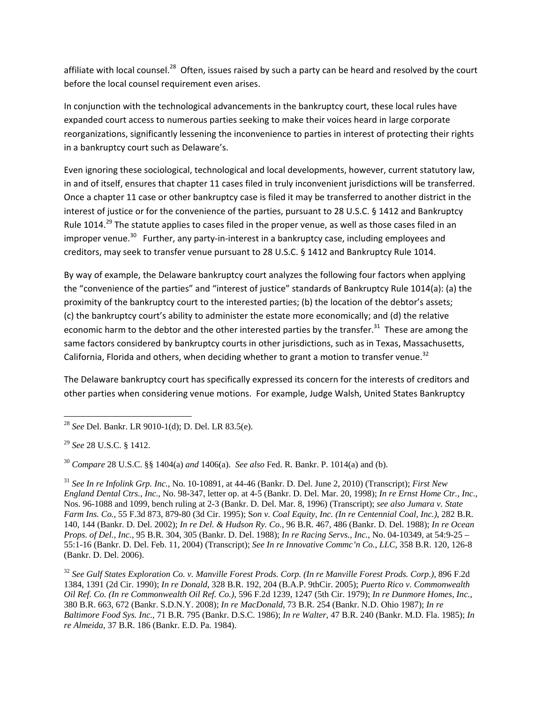affiliate with local counsel.<sup>28</sup> Often, issues raised by such a party can be heard and resolved by the court before the local counsel requirement even arises.

In conjunction with the technological advancements in the bankruptcy court, these local rules have expanded court access to numerous parties seeking to make their voices heard in large corporate reorganizations, significantly lessening the inconvenience to parties in interest of protecting their rights in a bankruptcy court such as Delaware's.

Even ignoring these sociological, technological and local developments, however, current statutory law, in and of itself, ensures that chapter 11 cases filed in truly inconvenient jurisdictions will be transferred. Once a chapter 11 case or other bankruptcy case is filed it may be transferred to another district in the interest of justice or for the convenience of the parties, pursuant to 28 U.S.C. § 1412 and Bankruptcy Rule 1014.<sup>29</sup> The statute applies to cases filed in the proper venue, as well as those cases filed in an improper venue.<sup>30</sup> Further, any party-in-interest in a bankruptcy case, including employees and creditors, may seek to transfer venue pursuant to 28 U.S.C. § 1412 and Bankruptcy Rule 1014.

By way of example, the Delaware bankruptcy court analyzes the following four factors when applying the "convenience of the parties" and "interest of justice" standards of Bankruptcy Rule 1014(a): (a) the proximity of the bankruptcy court to the interested parties; (b) the location of the debtor's assets; (c) the bankruptcy court's ability to administer the estate more economically; and (d) the relative economic harm to the debtor and the other interested parties by the transfer.<sup>31</sup> These are among the same factors considered by bankruptcy courts in other jurisdictions, such as in Texas, Massachusetts, California, Florida and others, when deciding whether to grant a motion to transfer venue.<sup>32</sup>

The Delaware bankruptcy court has specifically expressed its concern for the interests of creditors and other parties when considering venue motions. For example, Judge Walsh, United States Bankruptcy

<sup>28</sup> *See* Del. Bankr. LR 9010-1(d); D. Del. LR 83.5(e).

<sup>29</sup> *See* 28 U.S.C. § 1412.

<sup>30</sup> *Compare* 28 U.S.C. §§ 1404(a) *and* 1406(a). *See also* Fed. R. Bankr. P. 1014(a) and (b).

<sup>31</sup> *See In re Infolink Grp. Inc.*, No. 10-10891, at 44-46 (Bankr. D. Del. June 2, 2010) (Transcript); *First New England Dental Ctrs., Inc.*, No. 98-347, letter op. at 4-5 (Bankr. D. Del. Mar. 20, 1998); *In re Ernst Home Ctr., Inc.*, Nos. 96-1088 and 1099, bench ruling at 2-3 (Bankr. D. Del. Mar. 8, 1996) (Transcript); *see also Jumara v. State Farm Ins. Co.*, 55 F.3d 873, 879-80 (3d Cir. 1995); S*on v. Coal Equity, Inc. (In re Centennial Coal, Inc.)*, 282 B.R. 140, 144 (Bankr. D. Del. 2002); *In re Del. & Hudson Ry. Co.*, 96 B.R. 467, 486 (Bankr. D. Del. 1988); *In re Ocean Props. of Del., Inc.*, 95 B.R. 304, 305 (Bankr. D. Del. 1988); *In re Racing Servs., Inc.*, No. 04-10349, at 54:9-25 – 55:1-16 (Bankr. D. Del. Feb. 11, 2004) (Transcript); *See In re Innovative Commc'n Co., LLC*, 358 B.R. 120, 126-8 (Bankr. D. Del. 2006).

<sup>32</sup> *See Gulf States Exploration Co. v. Manville Forest Prods. Corp. (In re Manville Forest Prods. Corp.),* 896 F.2d 1384, 1391 (2d Cir. 1990); *In re Donald*, 328 B.R. 192, 204 (B.A.P. 9thCir. 2005); *Puerto Rico v. Commonwealth Oil Ref. Co. (In re Commonwealth Oil Ref. Co.),* 596 F.2d 1239, 1247 (5th Cir. 1979); *In re Dunmore Homes, Inc.*, 380 B.R. 663, 672 (Bankr. S.D.N.Y. 2008); *In re MacDonald*, 73 B.R. 254 (Bankr. N.D. Ohio 1987); *In re Baltimore Food Sys. Inc.,* 71 B.R. 795 (Bankr. D.S.C. 1986); *In re Walter*, 47 B.R. 240 (Bankr. M.D. Fla. 1985); *In re Almeida*, 37 B.R. 186 (Bankr. E.D. Pa. 1984).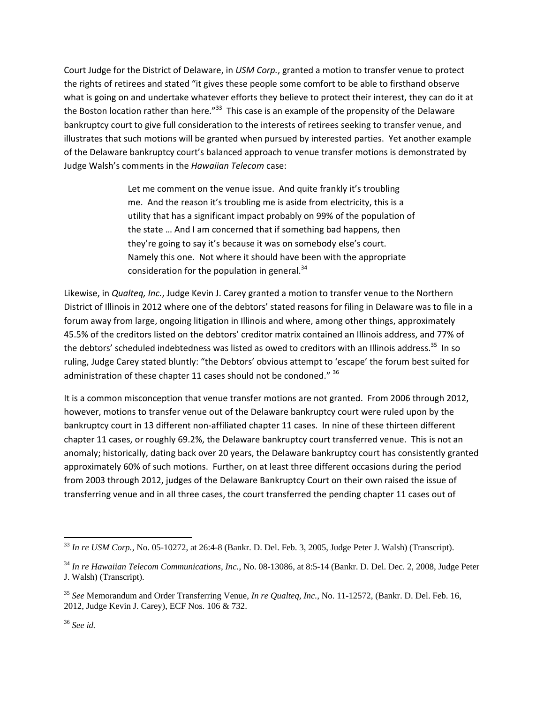Court Judge for the District of Delaware, in *USM Corp.*, granted a motion to transfer venue to protect the rights of retirees and stated "it gives these people some comfort to be able to firsthand observe what is going on and undertake whatever efforts they believe to protect their interest, they can do it at the Boston location rather than here."<sup>33</sup> This case is an example of the propensity of the Delaware bankruptcy court to give full consideration to the interests of retirees seeking to transfer venue, and illustrates that such motions will be granted when pursued by interested parties. Yet another example of the Delaware bankruptcy court's balanced approach to venue transfer motions is demonstrated by Judge Walsh's comments in the *Hawaiian Telecom* case:

> Let me comment on the venue issue. And quite frankly it's troubling me. And the reason it's troubling me is aside from electricity, this is a utility that has a significant impact probably on 99% of the population of the state … And I am concerned that if something bad happens, then they're going to say it's because it was on somebody else's court. Namely this one. Not where it should have been with the appropriate consideration for the population in general. $34$

Likewise, in *Qualteq, Inc.*, Judge Kevin J. Carey granted a motion to transfer venue to the Northern District of Illinois in 2012 where one of the debtors' stated reasons for filing in Delaware was to file in a forum away from large, ongoing litigation in Illinois and where, among other things, approximately 45.5% of the creditors listed on the debtors' creditor matrix contained an Illinois address, and 77% of the debtors' scheduled indebtedness was listed as owed to creditors with an Illinois address.<sup>35</sup> In so ruling, Judge Carey stated bluntly: "the Debtors' obvious attempt to 'escape' the forum best suited for administration of these chapter 11 cases should not be condoned." 36

It is a common misconception that venue transfer motions are not granted. From 2006 through 2012, however, motions to transfer venue out of the Delaware bankruptcy court were ruled upon by the bankruptcy court in 13 different non-affiliated chapter 11 cases. In nine of these thirteen different chapter 11 cases, or roughly 69.2%, the Delaware bankruptcy court transferred venue. This is not an anomaly; historically, dating back over 20 years, the Delaware bankruptcy court has consistently granted approximately 60% of such motions. Further, on at least three different occasions during the period from 2003 through 2012, judges of the Delaware Bankruptcy Court on their own raised the issue of transferring venue and in all three cases, the court transferred the pending chapter 11 cases out of

 <sup>33</sup> *In re USM Corp.*, No. 05-10272, at 26:4-8 (Bankr. D. Del. Feb. 3, 2005, Judge Peter J. Walsh) (Transcript).

<sup>34</sup> *In re Hawaiian Telecom Communications, Inc.*, No. 08-13086, at 8:5-14 (Bankr. D. Del. Dec. 2, 2008, Judge Peter J. Walsh) (Transcript).

<sup>35</sup> *See* Memorandum and Order Transferring Venue, *In re Qualteq, Inc.*, No. 11-12572, (Bankr. D. Del. Feb. 16, 2012, Judge Kevin J. Carey), ECF Nos. 106 & 732.

<sup>36</sup> *See id.*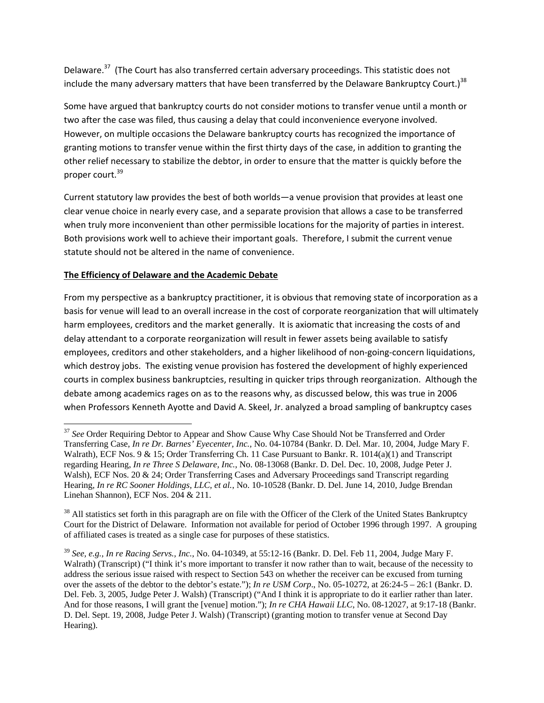Delaware.<sup>37</sup> (The Court has also transferred certain adversary proceedings. This statistic does not include the many adversary matters that have been transferred by the Delaware Bankruptcy Court.)<sup>38</sup>

Some have argued that bankruptcy courts do not consider motions to transfer venue until a month or two after the case was filed, thus causing a delay that could inconvenience everyone involved. However, on multiple occasions the Delaware bankruptcy courts has recognized the importance of granting motions to transfer venue within the first thirty days of the case, in addition to granting the other relief necessary to stabilize the debtor, in order to ensure that the matter is quickly before the proper court.<sup>39</sup>

Current statutory law provides the best of both worlds—a venue provision that provides at least one clear venue choice in nearly every case, and a separate provision that allows a case to be transferred when truly more inconvenient than other permissible locations for the majority of parties in interest. Both provisions work well to achieve their important goals. Therefore, I submit the current venue statute should not be altered in the name of convenience.

## **The Efficiency of Delaware and the Academic Debate**

From my perspective as a bankruptcy practitioner, it is obvious that removing state of incorporation as a basis for venue will lead to an overall increase in the cost of corporate reorganization that will ultimately harm employees, creditors and the market generally. It is axiomatic that increasing the costs of and delay attendant to a corporate reorganization will result in fewer assets being available to satisfy employees, creditors and other stakeholders, and a higher likelihood of non‐going‐concern liquidations, which destroy jobs. The existing venue provision has fostered the development of highly experienced courts in complex business bankruptcies, resulting in quicker trips through reorganization. Although the debate among academics rages on as to the reasons why, as discussed below, this was true in 2006 when Professors Kenneth Ayotte and David A. Skeel, Jr. analyzed a broad sampling of bankruptcy cases

<sup>&</sup>lt;sup>37</sup> See Order Requiring Debtor to Appear and Show Cause Why Case Should Not be Transferred and Order Transferring Case, *In re Dr. Barnes' Eyecenter, Inc.,* No. 04-10784 (Bankr. D. Del. Mar. 10, 2004, Judge Mary F. Walrath), ECF Nos. 9 & 15; Order Transferring Ch. 11 Case Pursuant to Bankr. R. 1014(a)(1) and Transcript regarding Hearing, *In re Three S Delaware, Inc.*, No. 08-13068 (Bankr. D. Del. Dec. 10, 2008, Judge Peter J. Walsh), ECF Nos. 20 & 24; Order Transferring Cases and Adversary Proceedings sand Transcript regarding Hearing, *In re RC Sooner Holdings, LLC, et al.*, No. 10-10528 (Bankr. D. Del. June 14, 2010, Judge Brendan Linehan Shannon), ECF Nos. 204 & 211.

<sup>&</sup>lt;sup>38</sup> All statistics set forth in this paragraph are on file with the Officer of the Clerk of the United States Bankruptcy Court for the District of Delaware. Information not available for period of October 1996 through 1997. A grouping of affiliated cases is treated as a single case for purposes of these statistics.

<sup>39</sup> *See, e.g., In re Racing Servs., Inc.*, No. 04-10349, at 55:12-16 (Bankr. D. Del. Feb 11, 2004, Judge Mary F. Walrath) (Transcript) ("I think it's more important to transfer it now rather than to wait, because of the necessity to address the serious issue raised with respect to Section 543 on whether the receiver can be excused from turning over the assets of the debtor to the debtor's estate."); *In re USM Corp*., No. 05-10272, at 26:24-5 – 26:1 (Bankr. D. Del. Feb. 3, 2005, Judge Peter J. Walsh) (Transcript) ("And I think it is appropriate to do it earlier rather than later. And for those reasons, I will grant the [venue] motion."); *In re CHA Hawaii LLC*, No. 08-12027, at 9:17-18 (Bankr. D. Del. Sept. 19, 2008, Judge Peter J. Walsh) (Transcript) (granting motion to transfer venue at Second Day Hearing).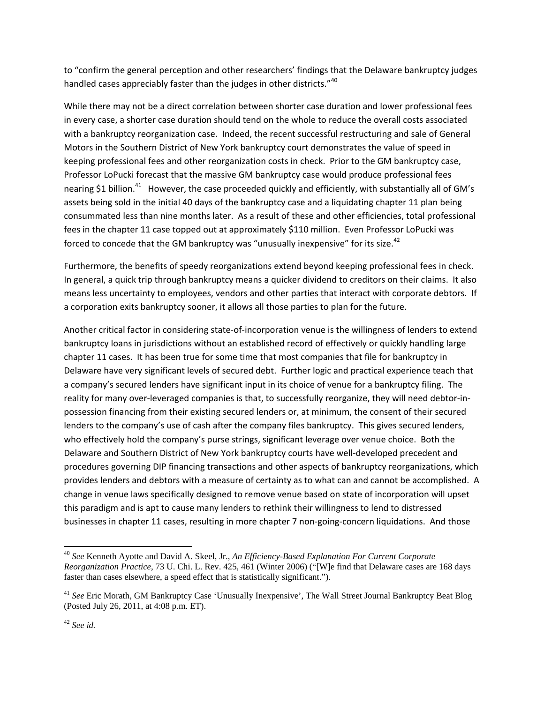to "confirm the general perception and other researchers' findings that the Delaware bankruptcy judges handled cases appreciably faster than the judges in other districts."<sup>40</sup>

While there may not be a direct correlation between shorter case duration and lower professional fees in every case, a shorter case duration should tend on the whole to reduce the overall costs associated with a bankruptcy reorganization case. Indeed, the recent successful restructuring and sale of General Motors in the Southern District of New York bankruptcy court demonstrates the value of speed in keeping professional fees and other reorganization costs in check. Prior to the GM bankruptcy case, Professor LoPucki forecast that the massive GM bankruptcy case would produce professional fees nearing \$1 billion.<sup>41</sup> However, the case proceeded quickly and efficiently, with substantially all of GM's assets being sold in the initial 40 days of the bankruptcy case and a liquidating chapter 11 plan being consummated less than nine months later. As a result of these and other efficiencies, total professional fees in the chapter 11 case topped out at approximately \$110 million. Even Professor LoPucki was forced to concede that the GM bankruptcy was "unusually inexpensive" for its size.<sup>42</sup>

Furthermore, the benefits of speedy reorganizations extend beyond keeping professional fees in check. In general, a quick trip through bankruptcy means a quicker dividend to creditors on their claims. It also means less uncertainty to employees, vendors and other parties that interact with corporate debtors. If a corporation exits bankruptcy sooner, it allows all those parties to plan for the future.

Another critical factor in considering state‐of‐incorporation venue is the willingness of lenders to extend bankruptcy loans in jurisdictions without an established record of effectively or quickly handling large chapter 11 cases. It has been true for some time that most companies that file for bankruptcy in Delaware have very significant levels of secured debt. Further logic and practical experience teach that a company's secured lenders have significant input in its choice of venue for a bankruptcy filing. The reality for many over-leveraged companies is that, to successfully reorganize, they will need debtor-inpossession financing from their existing secured lenders or, at minimum, the consent of their secured lenders to the company's use of cash after the company files bankruptcy. This gives secured lenders, who effectively hold the company's purse strings, significant leverage over venue choice. Both the Delaware and Southern District of New York bankruptcy courts have well‐developed precedent and procedures governing DIP financing transactions and other aspects of bankruptcy reorganizations, which provides lenders and debtors with a measure of certainty as to what can and cannot be accomplished. A change in venue laws specifically designed to remove venue based on state of incorporation will upset this paradigm and is apt to cause many lenders to rethink their willingness to lend to distressed businesses in chapter 11 cases, resulting in more chapter 7 non-going-concern liquidations. And those

<sup>40</sup> *See* Kenneth Ayotte and David A. Skeel, Jr., *An Efficiency-Based Explanation For Current Corporate Reorganization Practice*, 73 U. Chi. L. Rev. 425, 461 (Winter 2006) ("[W]e find that Delaware cases are 168 days faster than cases elsewhere, a speed effect that is statistically significant.").

<sup>&</sup>lt;sup>41</sup> See Eric Morath, GM Bankruptcy Case 'Unusually Inexpensive', The Wall Street Journal Bankruptcy Beat Blog (Posted July 26, 2011, at 4:08 p.m. ET).

<sup>42</sup> *See id.*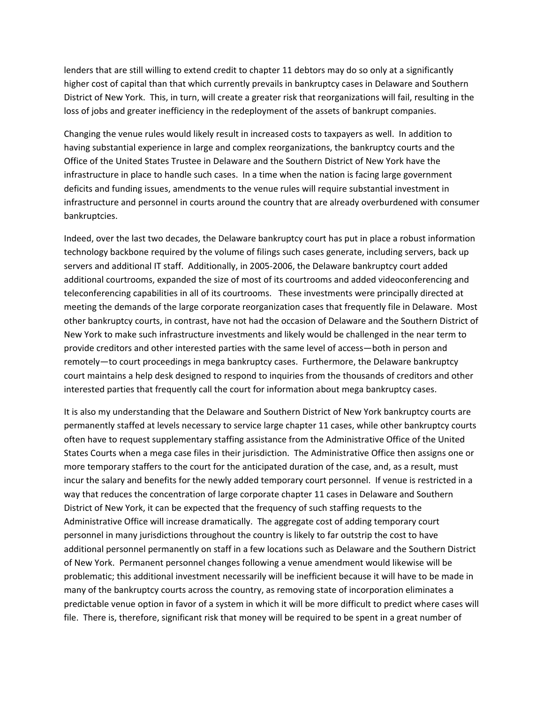lenders that are still willing to extend credit to chapter 11 debtors may do so only at a significantly higher cost of capital than that which currently prevails in bankruptcy cases in Delaware and Southern District of New York. This, in turn, will create a greater risk that reorganizations will fail, resulting in the loss of jobs and greater inefficiency in the redeployment of the assets of bankrupt companies.

Changing the venue rules would likely result in increased costs to taxpayers as well. In addition to having substantial experience in large and complex reorganizations, the bankruptcy courts and the Office of the United States Trustee in Delaware and the Southern District of New York have the infrastructure in place to handle such cases. In a time when the nation is facing large government deficits and funding issues, amendments to the venue rules will require substantial investment in infrastructure and personnel in courts around the country that are already overburdened with consumer bankruptcies.

Indeed, over the last two decades, the Delaware bankruptcy court has put in place a robust information technology backbone required by the volume of filings such cases generate, including servers, back up servers and additional IT staff. Additionally, in 2005‐2006, the Delaware bankruptcy court added additional courtrooms, expanded the size of most of its courtrooms and added videoconferencing and teleconferencing capabilities in all of its courtrooms. These investments were principally directed at meeting the demands of the large corporate reorganization cases that frequently file in Delaware. Most other bankruptcy courts, in contrast, have not had the occasion of Delaware and the Southern District of New York to make such infrastructure investments and likely would be challenged in the near term to provide creditors and other interested parties with the same level of access—both in person and remotely—to court proceedings in mega bankruptcy cases. Furthermore, the Delaware bankruptcy court maintains a help desk designed to respond to inquiries from the thousands of creditors and other interested parties that frequently call the court for information about mega bankruptcy cases.

It is also my understanding that the Delaware and Southern District of New York bankruptcy courts are permanently staffed at levels necessary to service large chapter 11 cases, while other bankruptcy courts often have to request supplementary staffing assistance from the Administrative Office of the United States Courts when a mega case files in their jurisdiction. The Administrative Office then assigns one or more temporary staffers to the court for the anticipated duration of the case, and, as a result, must incur the salary and benefits for the newly added temporary court personnel. If venue is restricted in a way that reduces the concentration of large corporate chapter 11 cases in Delaware and Southern District of New York, it can be expected that the frequency of such staffing requests to the Administrative Office will increase dramatically. The aggregate cost of adding temporary court personnel in many jurisdictions throughout the country is likely to far outstrip the cost to have additional personnel permanently on staff in a few locations such as Delaware and the Southern District of New York. Permanent personnel changes following a venue amendment would likewise will be problematic; this additional investment necessarily will be inefficient because it will have to be made in many of the bankruptcy courts across the country, as removing state of incorporation eliminates a predictable venue option in favor of a system in which it will be more difficult to predict where cases will file. There is, therefore, significant risk that money will be required to be spent in a great number of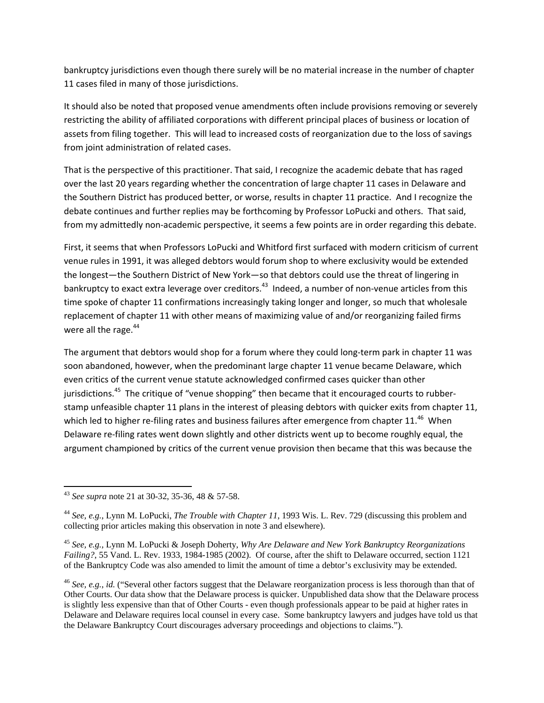bankruptcy jurisdictions even though there surely will be no material increase in the number of chapter 11 cases filed in many of those jurisdictions.

It should also be noted that proposed venue amendments often include provisions removing or severely restricting the ability of affiliated corporations with different principal places of business or location of assets from filing together. This will lead to increased costs of reorganization due to the loss of savings from joint administration of related cases.

That is the perspective of this practitioner. That said, I recognize the academic debate that has raged over the last 20 years regarding whether the concentration of large chapter 11 cases in Delaware and the Southern District has produced better, or worse, results in chapter 11 practice. And I recognize the debate continues and further replies may be forthcoming by Professor LoPucki and others. That said, from my admittedly non-academic perspective, it seems a few points are in order regarding this debate.

First, it seems that when Professors LoPucki and Whitford first surfaced with modern criticism of current venue rules in 1991, it was alleged debtors would forum shop to where exclusivity would be extended the longest—the Southern District of New York—so that debtors could use the threat of lingering in bankruptcy to exact extra leverage over creditors.<sup>43</sup> Indeed, a number of non-venue articles from this time spoke of chapter 11 confirmations increasingly taking longer and longer, so much that wholesale replacement of chapter 11 with other means of maximizing value of and/or reorganizing failed firms were all the rage.<sup>44</sup>

The argument that debtors would shop for a forum where they could long-term park in chapter 11 was soon abandoned, however, when the predominant large chapter 11 venue became Delaware, which even critics of the current venue statute acknowledged confirmed cases quicker than other jurisdictions.<sup>45</sup> The critique of "venue shopping" then became that it encouraged courts to rubberstamp unfeasible chapter 11 plans in the interest of pleasing debtors with quicker exits from chapter 11, which led to higher re-filing rates and business failures after emergence from chapter 11.<sup>46</sup> When Delaware re-filing rates went down slightly and other districts went up to become roughly equal, the argument championed by critics of the current venue provision then became that this was because the

<sup>43</sup> *See supra* note 21 at 30-32, 35-36, 48 & 57-58.

<sup>44</sup> *See, e.g.*, Lynn M. LoPucki, *The Trouble with Chapter 11*, 1993 Wis. L. Rev. 729 (discussing this problem and collecting prior articles making this observation in note 3 and elsewhere).

<sup>45</sup> *See, e.g.,* Lynn M. LoPucki & Joseph Doherty, *Why Are Delaware and New York Bankruptcy Reorganizations Failing?*, 55 Vand. L. Rev. 1933, 1984-1985 (2002). Of course, after the shift to Delaware occurred, section 1121 of the Bankruptcy Code was also amended to limit the amount of time a debtor's exclusivity may be extended.

<sup>46</sup> *See, e.g.*, *id.* ("Several other factors suggest that the Delaware reorganization process is less thorough than that of Other Courts. Our data show that the Delaware process is quicker. Unpublished data show that the Delaware process is slightly less expensive than that of Other Courts - even though professionals appear to be paid at higher rates in Delaware and Delaware requires local counsel in every case. Some bankruptcy lawyers and judges have told us that the Delaware Bankruptcy Court discourages adversary proceedings and objections to claims.").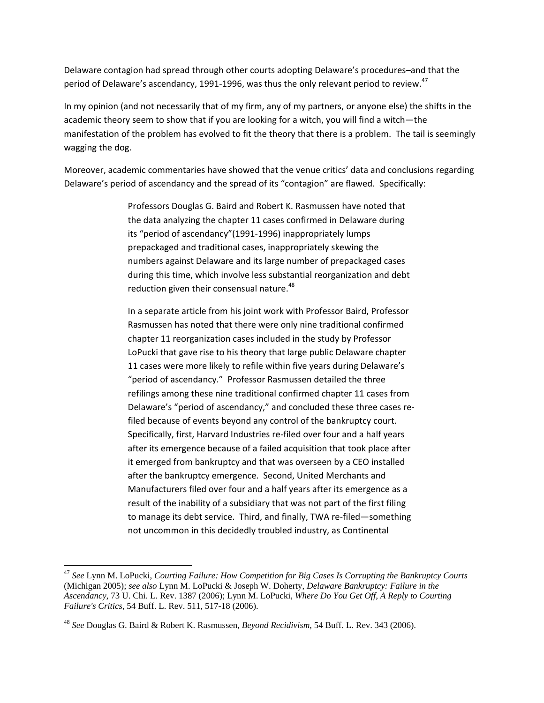Delaware contagion had spread through other courts adopting Delaware's procedures–and that the period of Delaware's ascendancy, 1991-1996, was thus the only relevant period to review.<sup>47</sup>

In my opinion (and not necessarily that of my firm, any of my partners, or anyone else) the shifts in the academic theory seem to show that if you are looking for a witch, you will find a witch—the manifestation of the problem has evolved to fit the theory that there is a problem. The tail is seemingly wagging the dog.

Moreover, academic commentaries have showed that the venue critics' data and conclusions regarding Delaware's period of ascendancy and the spread of its "contagion" are flawed. Specifically:

> Professors Douglas G. Baird and Robert K. Rasmussen have noted that the data analyzing the chapter 11 cases confirmed in Delaware during its "period of ascendancy"(1991‐1996) inappropriately lumps prepackaged and traditional cases, inappropriately skewing the numbers against Delaware and its large number of prepackaged cases during this time, which involve less substantial reorganization and debt reduction given their consensual nature.<sup>48</sup>

In a separate article from his joint work with Professor Baird, Professor Rasmussen has noted that there were only nine traditional confirmed chapter 11 reorganization cases included in the study by Professor LoPucki that gave rise to his theory that large public Delaware chapter 11 cases were more likely to refile within five years during Delaware's "period of ascendancy." Professor Rasmussen detailed the three refilings among these nine traditional confirmed chapter 11 cases from Delaware's "period of ascendancy," and concluded these three cases re‐ filed because of events beyond any control of the bankruptcy court. Specifically, first, Harvard Industries re-filed over four and a half years after its emergence because of a failed acquisition that took place after it emerged from bankruptcy and that was overseen by a CEO installed after the bankruptcy emergence. Second, United Merchants and Manufacturers filed over four and a half years after its emergence as a result of the inability of a subsidiary that was not part of the first filing to manage its debt service. Third, and finally, TWA re‐filed—something not uncommon in this decidedly troubled industry, as Continental

<sup>47</sup> *See* Lynn M. LoPucki, *Courting Failure: How Competition for Big Cases Is Corrupting the Bankruptcy Courts* (Michigan 2005); *see also* Lynn M. LoPucki & Joseph W. Doherty, *Delaware Bankruptcy: Failure in the Ascendancy*, 73 U. Chi. L. Rev. 1387 (2006); Lynn M. LoPucki, *Where Do You Get Off, A Reply to Courting Failure's Critics*, 54 Buff. L. Rev. 511, 517-18 (2006).

<sup>48</sup> *See* Douglas G. Baird & Robert K. Rasmussen, *Beyond Recidivism*, 54 Buff. L. Rev. 343 (2006).